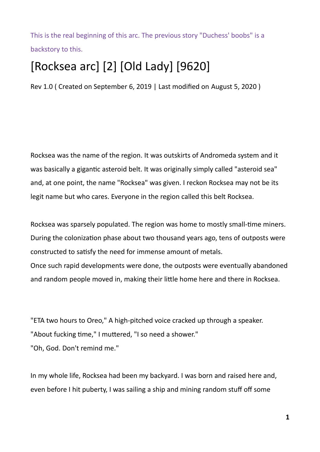This is the real beginning of this arc. The previous story "Duchess' boobs" is a backstory to this.

## [Rocksea arc] [2] [Old Lady] [9620]

Rev 1.0 ( Created on September 6, 2019 | Last modified on August 5, 2020 )

Rocksea was the name of the region. It was outskirts of Andromeda system and it was basically a gigantic asteroid belt. It was originally simply called "asteroid sea" and, at one point, the name "Rocksea" was given. I reckon Rocksea may not be its legit name but who cares. Everyone in the region called this belt Rocksea.

Rocksea was sparsely populated. The region was home to mostly small-time miners. During the colonization phase about two thousand years ago, tens of outposts were constructed to satisfy the need for immense amount of metals.

Once such rapid developments were done, the outposts were eventually abandoned and random people moved in, making their little home here and there in Rocksea.

"ETA two hours to Oreo," A high-pitched voice cracked up through a speaker. "About fucking time," I muttered, "I so need a shower." "Oh, God. Don't remind me."

In my whole life, Rocksea had been my backyard. I was born and raised here and, even before I hit puberty, I was sailing a ship and mining random stuff off some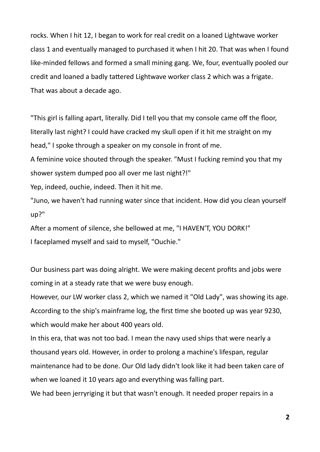rocks. When I hit 12, I began to work for real credit on a loaned Lightwave worker class 1 and eventually managed to purchased it when I hit 20. That was when I found like-minded fellows and formed a small mining gang. We, four, eventually pooled our credit and loaned a badly tattered Lightwave worker class 2 which was a frigate. That was about a decade ago.

"This girl is falling apart, literally. Did I tell you that my console came off the floor, literally last night? I could have cracked my skull open if it hit me straight on my head," I spoke through a speaker on my console in front of me.

A feminine voice shouted through the speaker. "Must I fucking remind you that my shower system dumped poo all over me last night?!"

Yep, indeed, ouchie, indeed. Then it hit me.

"Juno, we haven't had running water since that incident. How did you clean yourself up?"

After a moment of silence, she bellowed at me, "I HAVEN'T, YOU DORK!" I faceplamed myself and said to myself, "Ouchie."

Our business part was doing alright. We were making decent profits and jobs were coming in at a steady rate that we were busy enough.

However, our LW worker class 2, which we named it "Old Lady", was showing its age. According to the ship's mainframe log, the first time she booted up was year 9230, which would make her about 400 years old.

In this era, that was not too bad. I mean the navy used ships that were nearly a thousand years old. However, in order to prolong a machine's lifespan, regular maintenance had to be done. Our Old lady didn't look like it had been taken care of when we loaned it 10 years ago and everything was falling part.

We had been jerryriging it but that wasn't enough. It needed proper repairs in a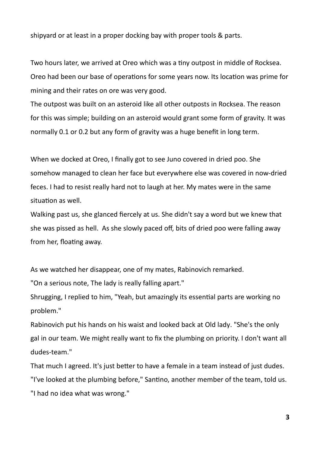shipyard or at least in a proper docking bay with proper tools & parts.

Two hours later, we arrived at Oreo which was a tiny outpost in middle of Rocksea. Oreo had been our base of operations for some years now. Its location was prime for mining and their rates on ore was very good.

The outpost was built on an asteroid like all other outposts in Rocksea. The reason for this was simple; building on an asteroid would grant some form of gravity. It was normally 0.1 or 0.2 but any form of gravity was a huge benefit in long term.

When we docked at Oreo, I finally got to see Juno covered in dried poo. She somehow managed to clean her face but everywhere else was covered in now-dried feces. I had to resist really hard not to laugh at her. My mates were in the same situation as well.

Walking past us, she glanced fiercely at us. She didn't say a word but we knew that she was pissed as hell. As she slowly paced off, bits of dried poo were falling away from her, floating away.

As we watched her disappear, one of my mates, Rabinovich remarked.

"On a serious note, The lady is really falling apart."

Shrugging, I replied to him, "Yeah, but amazingly its essential parts are working no problem."

Rabinovich put his hands on his waist and looked back at Old lady. "She's the only gal in our team. We might really want to fix the plumbing on priority. I don't want all dudes-team."

That much I agreed. It's just better to have a female in a team instead of just dudes. "I've looked at the plumbing before," Santino, another member of the team, told us. "I had no idea what was wrong."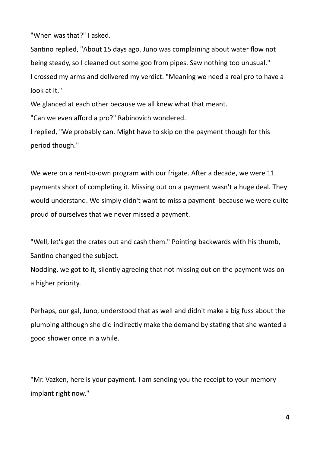"When was that?" I asked.

Santino replied, "About 15 days ago. Juno was complaining about water flow not being steady, so I cleaned out some goo from pipes. Saw nothing too unusual." I crossed my arms and delivered my verdict. "Meaning we need a real pro to have a look at it."

We glanced at each other because we all knew what that meant.

"Can we even afford a pro?" Rabinovich wondered.

I replied, "We probably can. Might have to skip on the payment though for this period though."

We were on a rent-to-own program with our frigate. After a decade, we were 11 payments short of completing it. Missing out on a payment wasn't a huge deal. They would understand. We simply didn't want to miss a payment because we were quite proud of ourselves that we never missed a payment.

"Well, let's get the crates out and cash them." Pointing backwards with his thumb, Santino changed the subject.

Nodding, we got to it, silently agreeing that not missing out on the payment was on a higher priority.

Perhaps, our gal, Juno, understood that as well and didn't make a big fuss about the plumbing although she did indirectly make the demand by stating that she wanted a good shower once in a while.

"Mr. Vazken, here is your payment. I am sending you the receipt to your memory implant right now."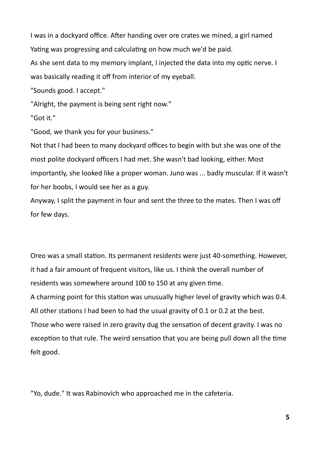I was in a dockyard office. After handing over ore crates we mined, a girl named Yating was progressing and calculating on how much we'd be paid.

As she sent data to my memory implant, I injected the data into my optic nerve. I was basically reading it off from interior of my eyeball.

"Sounds good. I accept."

"Alright, the payment is being sent right now."

"Got it."

"Good, we thank you for your business."

Not that I had been to many dockyard offices to begin with but she was one of the most polite dockyard officers I had met. She wasn't bad looking, either. Most importantly, she looked like a proper woman. Juno was ... badly muscular. If it wasn't for her boobs, I would see her as a guy.

Anyway, I split the payment in four and sent the three to the mates. Then I was off for few days.

Oreo was a small station. Its permanent residents were just 40-something. However, it had a fair amount of frequent visitors, like us. I think the overall number of residents was somewhere around 100 to 150 at any given time. A charming point for this station was unusually higher level of gravity which was 0.4. All other stations I had been to had the usual gravity of 0.1 or 0.2 at the best. Those who were raised in zero gravity dug the sensation of decent gravity. I was no exception to that rule. The weird sensation that you are being pull down all the time felt good.

"Yo, dude." It was Rabinovich who approached me in the cafeteria.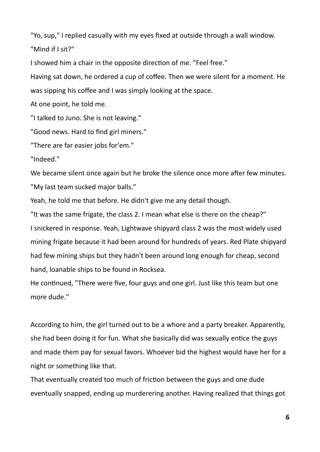"Yo, sup," I replied casually with my eyes fixed at outside through a wall window. "Mind if I sit?"

I showed him a chair in the opposite direction of me. "Feel free."

Having sat down, he ordered a cup of coffee. Then we were silent for a moment. He was sipping his coffee and I was simply looking at the space.

At one point, he told me.

"I talked to Juno. She is not leaving."

"Good news. Hard to find girl miners."

"There are far easier jobs for'em."

"Indeed."

We became silent once again but he broke the silence once more after few minutes. "My last team sucked major balls."

Yeah, he told me that before. He didn't give me any detail though.

"It was the same frigate, the class 2. I mean what else is there on the cheap?" I snickered in response. Yeah, Lightwave shipyard class 2 was the most widely used mining frigate because it had been around for hundreds of years. Red Plate shipyard had few mining ships but they hadn't been around long enough for cheap, second hand, loanable ships to be found in Rocksea.

He continued, "There were five, four guys and one girl. Just like this team but one more dude."

According to him, the girl turned out to be a whore and a party breaker. Apparently, she had been doing it for fun. What she basically did was sexually entice the guys and made them pay for sexual favors. Whoever bid the highest would have her for a night or something like that.

That eventually created too much of friction between the guys and one dude eventually snapped, ending up murderering another. Having realized that things got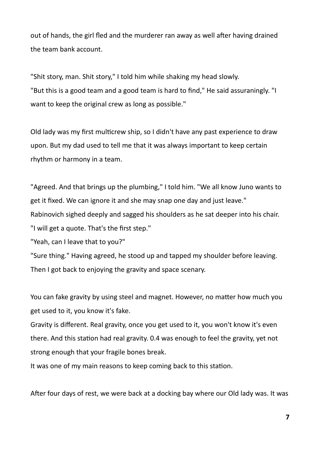out of hands, the girl fled and the murderer ran away as well after having drained the team bank account.

"Shit story, man. Shit story," I told him while shaking my head slowly. "But this is a good team and a good team is hard to find," He said assuraningly. "I want to keep the original crew as long as possible."

Old lady was my first multicrew ship, so I didn't have any past experience to draw upon. But my dad used to tell me that it was always important to keep certain rhythm or harmony in a team.

"Agreed. And that brings up the plumbing," I told him. "We all know Juno wants to get it fixed. We can ignore it and she may snap one day and just leave." Rabinovich sighed deeply and sagged his shoulders as he sat deeper into his chair.

"I will get a quote. That's the first step."

"Yeah, can I leave that to you?"

"Sure thing." Having agreed, he stood up and tapped my shoulder before leaving. Then I got back to enjoying the gravity and space scenary.

You can fake gravity by using steel and magnet. However, no matter how much you get used to it, you know it's fake.

Gravity is different. Real gravity, once you get used to it, you won't know it's even there. And this station had real gravity. 0.4 was enough to feel the gravity, yet not strong enough that your fragile bones break.

It was one of my main reasons to keep coming back to this station.

After four days of rest, we were back at a docking bay where our Old lady was. It was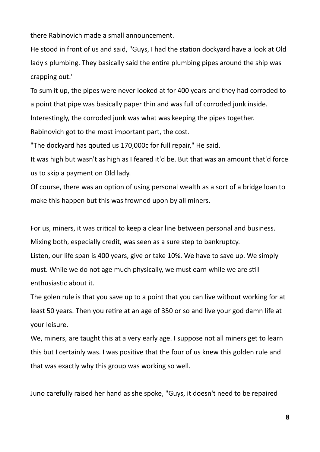there Rabinovich made a small announcement.

He stood in front of us and said, "Guys, I had the station dockyard have a look at Old lady's plumbing. They basically said the entire plumbing pipes around the ship was crapping out."

To sum it up, the pipes were never looked at for 400 years and they had corroded to a point that pipe was basically paper thin and was full of corroded junk inside. Interestingly, the corroded junk was what was keeping the pipes together. Rabinovich got to the most important part, the cost.

"The dockyard has qouted us 170,000c for full repair," He said.

It was high but wasn't as high as I feared it'd be. But that was an amount that'd force us to skip a payment on Old lady.

Of course, there was an option of using personal wealth as a sort of a bridge loan to make this happen but this was frowned upon by all miners.

For us, miners, it was critical to keep a clear line between personal and business.

Mixing both, especially credit, was seen as a sure step to bankruptcy.

Listen, our life span is 400 years, give or take 10%. We have to save up. We simply must. While we do not age much physically, we must earn while we are still enthusiastic about it.

The golen rule is that you save up to a point that you can live without working for at least 50 years. Then you retire at an age of 350 or so and live your god damn life at your leisure.

We, miners, are taught this at a very early age. I suppose not all miners get to learn this but I certainly was. I was positive that the four of us knew this golden rule and that was exactly why this group was working so well.

Juno carefully raised her hand as she spoke, "Guys, it doesn't need to be repaired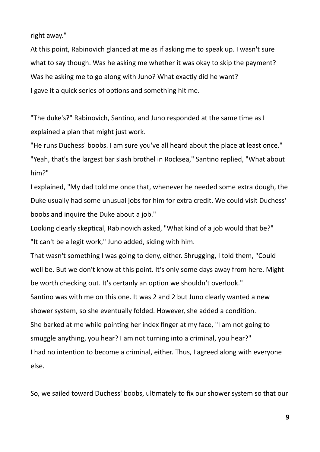right away."

At this point, Rabinovich glanced at me as if asking me to speak up. I wasn't sure what to say though. Was he asking me whether it was okay to skip the payment? Was he asking me to go along with Juno? What exactly did he want? I gave it a quick series of options and something hit me.

"The duke's?" Rabinovich, Santino, and Juno responded at the same time as I explained a plan that might just work.

"He runs Duchess' boobs. I am sure you've all heard about the place at least once." "Yeah, that's the largest bar slash brothel in Rocksea," Santino replied, "What about him?"

I explained, "My dad told me once that, whenever he needed some extra dough, the Duke usually had some unusual jobs for him for extra credit. We could visit Duchess' boobs and inquire the Duke about a job."

Looking clearly skeptical, Rabinovich asked, "What kind of a job would that be?" "It can't be a legit work," Juno added, siding with him.

That wasn't something I was going to deny, either. Shrugging, I told them, "Could well be. But we don't know at this point. It's only some days away from here. Might be worth checking out. It's certanly an option we shouldn't overlook." Santino was with me on this one. It was 2 and 2 but Juno clearly wanted a new shower system, so she eventually folded. However, she added a condition. She barked at me while pointing her index finger at my face, "I am not going to smuggle anything, you hear? I am not turning into a criminal, you hear?" I had no intention to become a criminal, either. Thus, I agreed along with everyone else.

So, we sailed toward Duchess' boobs, ultimately to fix our shower system so that our